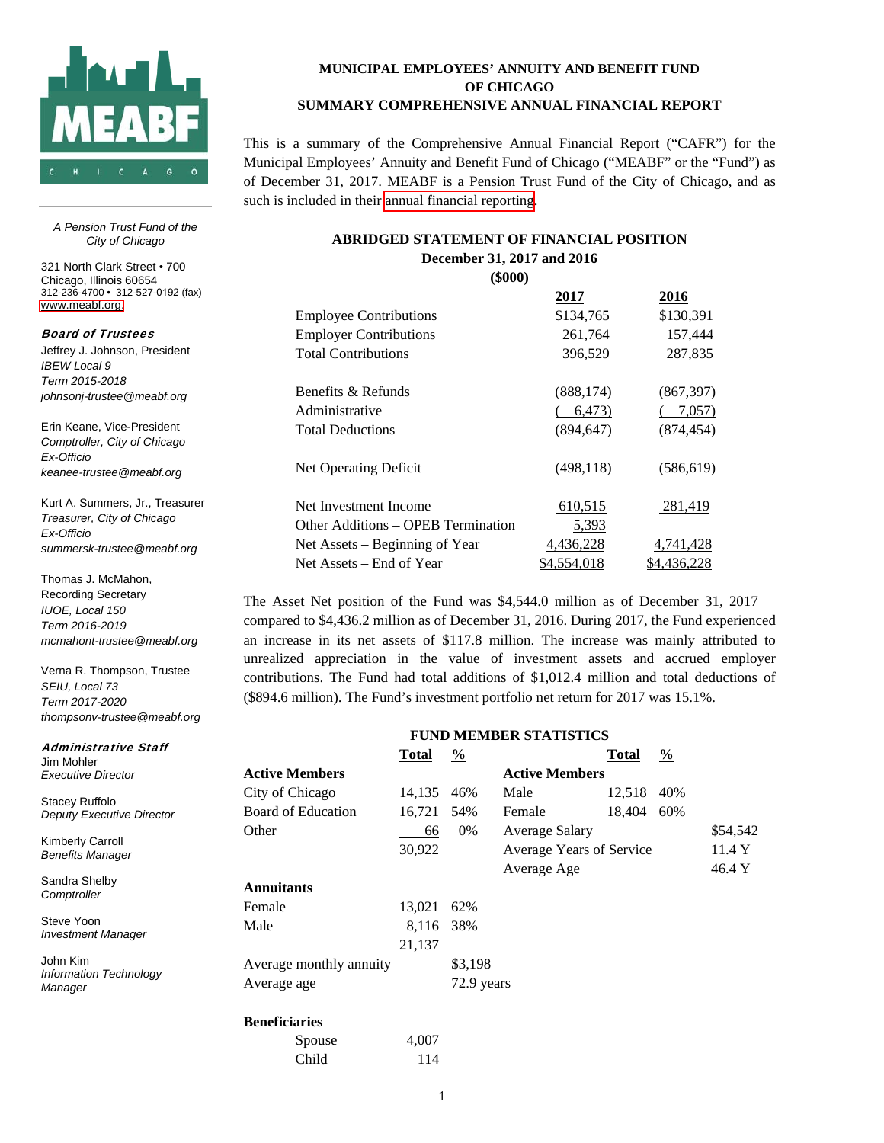

**MUNICIPAL EMPLOYEES' ANNUITY AND BENEFIT FUND OF CHICAGO SUMMARY COMPREHENSIVE ANNUAL FINANCIAL REPORT** 

This is a summary of the Comprehensive Annual Financial Report ("CAFR") for the Municipal Employees' Annuity and Benefit Fund of Chicago ("MEABF" or the "Fund") as of December 31, 2017. MEABF is a Pension Trust Fund of the City of Chicago, and as such is included in their [annual financial reporting](https://www.cityofchicago.org/city/en/depts/fin/supp_info/comprehensive_annualfinancialstatements/cafr_disclosure.html).

#### **ABRIDGED STATEMENT OF FINANCIAL POSITION December 31, 2017 and 2016 (\$000)**

| (DUUU)                             |             |              |
|------------------------------------|-------------|--------------|
|                                    | <u>2017</u> | <u> 2016</u> |
| <b>Employee Contributions</b>      | \$134,765   | \$130,391    |
| <b>Employer Contributions</b>      | 261,764     | 157,444      |
| <b>Total Contributions</b>         | 396,529     | 287,835      |
| Benefits & Refunds                 | (888, 174)  | (867, 397)   |
| Administrative                     | 6,473)      | 7,057)       |
| <b>Total Deductions</b>            | (894, 647)  | (874, 454)   |
| Net Operating Deficit              | (498, 118)  | (586, 619)   |
| Net Investment Income              | 610,515     | 281,419      |
| Other Additions – OPEB Termination | 5,393       |              |
| Net Assets – Beginning of Year     | 4,436,228   | 4,741,428    |
| Net Assets – End of Year           | \$4,554,018 | \$4,436,228  |

The Asset Net position of the Fund was \$4,544.0 million as of December 31, 2017 compared to \$4,436.2 million as of December 31, 2016. During 2017, the Fund experienced an increase in its net assets of \$117.8 million. The increase was mainly attributed to unrealized appreciation in the value of investment assets and accrued employer contributions. The Fund had total additions of \$1,012.4 million and total deductions of (\$894.6 million). The Fund's investment portfolio net return for 2017 was 15.1%.

| <b>FUND MEMBER STATISTICS</b> |        |               |                          |        |               |          |
|-------------------------------|--------|---------------|--------------------------|--------|---------------|----------|
|                               | Total  | $\frac{0}{0}$ |                          | Total  | $\frac{0}{2}$ |          |
| <b>Active Members</b>         |        |               | <b>Active Members</b>    |        |               |          |
| City of Chicago               | 14,135 | 46%           | Male                     | 12,518 | 40%           |          |
| Board of Education            | 16,721 | 54%           | Female                   | 18,404 | 60%           |          |
| Other                         | 66     | $0\%$         | Average Salary           |        |               | \$54,542 |
|                               | 30,922 |               | Average Years of Service |        |               | 11.4 Y   |
|                               |        |               | Average Age              |        |               | 46.4 Y   |
| <b>Annuitants</b>             |        |               |                          |        |               |          |
| Female                        | 13,021 | 62%           |                          |        |               |          |
| Male                          | 8,116  | 38%           |                          |        |               |          |
|                               | 21,137 |               |                          |        |               |          |
| Average monthly annuity       |        | \$3,198       |                          |        |               |          |
| Average age                   |        | 72.9 years    |                          |        |               |          |
| <b>Beneficiaries</b>          |        |               |                          |        |               |          |
| Spouse                        | 4,007  |               |                          |        |               |          |
| Child                         | 114    |               |                          |        |               |          |

*A Pension Trust Fund of the City of Chicago* 

 Chicago, Illinois 60654 321 North Clark Street • 700 312-236-4700 • 312-527-0192 (fax) [www.meabf.org.](www.meabf.org)

Board of Trustees

Jeffrey J. Johnson, President *IBEW Local 9 Term 2015-2018 johnsonj-trustee@meabf.org* 

Erin Keane, Vice-President *Comptroller, City of Chicago Ex-Officio keanee-trustee@meabf.org* 

Kurt A. Summers, Jr., Treasurer *Treasurer, City of Chicago Ex-Officio summersk-trustee@meabf.org* 

Thomas J. McMahon, Recording Secretary *IUOE, Local 150 Term 2016-2019 mcmahont-trustee@meabf.org* 

Verna R. Thompson, Trustee *SEIU, Local 73 Term 2017-2020 thompsonv-trustee@meabf.org* 

Administrative Staff Jim Mohler *Executive Director* 

Stacey Ruffolo *Deputy Executive Director* 

Kimberly Carroll *Benefits Manager* 

Sandra Shelby *Comptroller* 

Steve Yoon *Investment Manager*

 *Manager*  John Kim *Information Technology*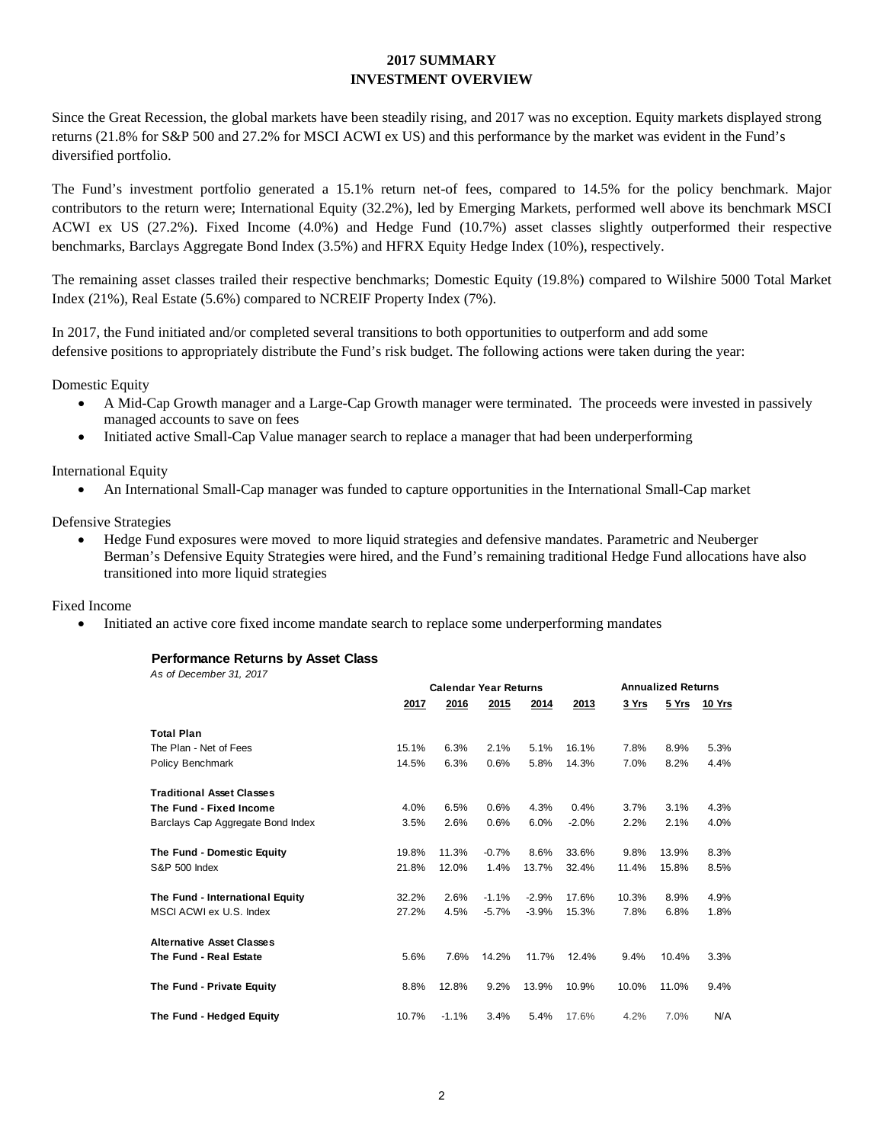# **2017 SUMMARY INVESTMENT OVERVIEW**

Since the Great Recession, the global markets have been steadily rising, and 2017 was no exception. Equity markets displayed strong returns (21.8% for S&P 500 and 27.2% for MSCI ACWI ex US) and this performance by the market was evident in the Fund's diversified portfolio.

The Fund's investment portfolio generated a 15.1% return net-of fees, compared to 14.5% for the policy benchmark. Major contributors to the return were; International Equity (32.2%), led by Emerging Markets, performed well above its benchmark MSCI ACWI ex US (27.2%). Fixed Income (4.0%) and Hedge Fund (10.7%) asset classes slightly outperformed their respective benchmarks, Barclays Aggregate Bond Index (3.5%) and HFRX Equity Hedge Index (10%), respectively.

The remaining asset classes trailed their respective benchmarks; Domestic Equity (19.8%) compared to Wilshire 5000 Total Market Index (21%), Real Estate (5.6%) compared to NCREIF Property Index (7%).

In 2017, the Fund initiated and/or completed several transitions to both opportunities to outperform and add some defensive positions to appropriately distribute the Fund's risk budget. The following actions were taken during the year:

Domestic Equity

- A Mid-Cap Growth manager and a Large-Cap Growth manager were terminated. The proceeds were invested in passively managed accounts to save on fees
- Initiated active Small-Cap Value manager search to replace a manager that had been underperforming

International Equity

• An International Small-Cap manager was funded to capture opportunities in the International Small-Cap market

Defensive Strategies

• Hedge Fund exposures were moved to more liquid strategies and defensive mandates. Parametric and Neuberger Berman's Defensive Equity Strategies were hired, and the Fund's remaining traditional Hedge Fund allocations have also transitioned into more liquid strategies

### Fixed Income

• Initiated an active core fixed income mandate search to replace some underperforming mandates

### **Performance Returns by Asset Class**

*As of December 31, 2017*

|                                   | <b>Calendar Year Returns</b> |         |         |         | <b>Annualized Returns</b> |       |       |        |
|-----------------------------------|------------------------------|---------|---------|---------|---------------------------|-------|-------|--------|
|                                   | 2017                         | 2016    | 2015    | 2014    | 2013                      | 3 Yrs | 5 Yrs | 10 Yrs |
| <b>Total Plan</b>                 |                              |         |         |         |                           |       |       |        |
| The Plan - Net of Fees            | 15.1%                        | 6.3%    | 2.1%    | 5.1%    | 16.1%                     | 7.8%  | 8.9%  | 5.3%   |
| Policy Benchmark                  | 14.5%                        | 6.3%    | 0.6%    | 5.8%    | 14.3%                     | 7.0%  | 8.2%  | 4.4%   |
| <b>Traditional Asset Classes</b>  |                              |         |         |         |                           |       |       |        |
| The Fund - Fixed Income           | 4.0%                         | 6.5%    | 0.6%    | 4.3%    | 0.4%                      | 3.7%  | 3.1%  | 4.3%   |
| Barclays Cap Aggregate Bond Index | 3.5%                         | 2.6%    | 0.6%    | 6.0%    | $-2.0%$                   | 2.2%  | 2.1%  | 4.0%   |
| The Fund - Domestic Equity        | 19.8%                        | 11.3%   | $-0.7%$ | 8.6%    | 33.6%                     | 9.8%  | 13.9% | 8.3%   |
| <b>S&amp;P 500 Index</b>          | 21.8%                        | 12.0%   | 1.4%    | 13.7%   | 32.4%                     | 11.4% | 15.8% | 8.5%   |
| The Fund - International Equity   | 32.2%                        | 2.6%    | $-1.1%$ | $-2.9%$ | 17.6%                     | 10.3% | 8.9%  | 4.9%   |
| MSCI ACWI ex U.S. Index           | 27.2%                        | 4.5%    | $-5.7%$ | $-3.9%$ | 15.3%                     | 7.8%  | 6.8%  | 1.8%   |
| <b>Alternative Asset Classes</b>  |                              |         |         |         |                           |       |       |        |
| The Fund - Real Estate            | 5.6%                         | 7.6%    | 14.2%   | 11.7%   | 12.4%                     | 9.4%  | 10.4% | 3.3%   |
| The Fund - Private Equity         | 8.8%                         | 12.8%   | 9.2%    | 13.9%   | 10.9%                     | 10.0% | 11.0% | 9.4%   |
| The Fund - Hedged Equity          | 10.7%                        | $-1.1%$ | 3.4%    | 5.4%    | 17.6%                     | 4.2%  | 7.0%  | N/A    |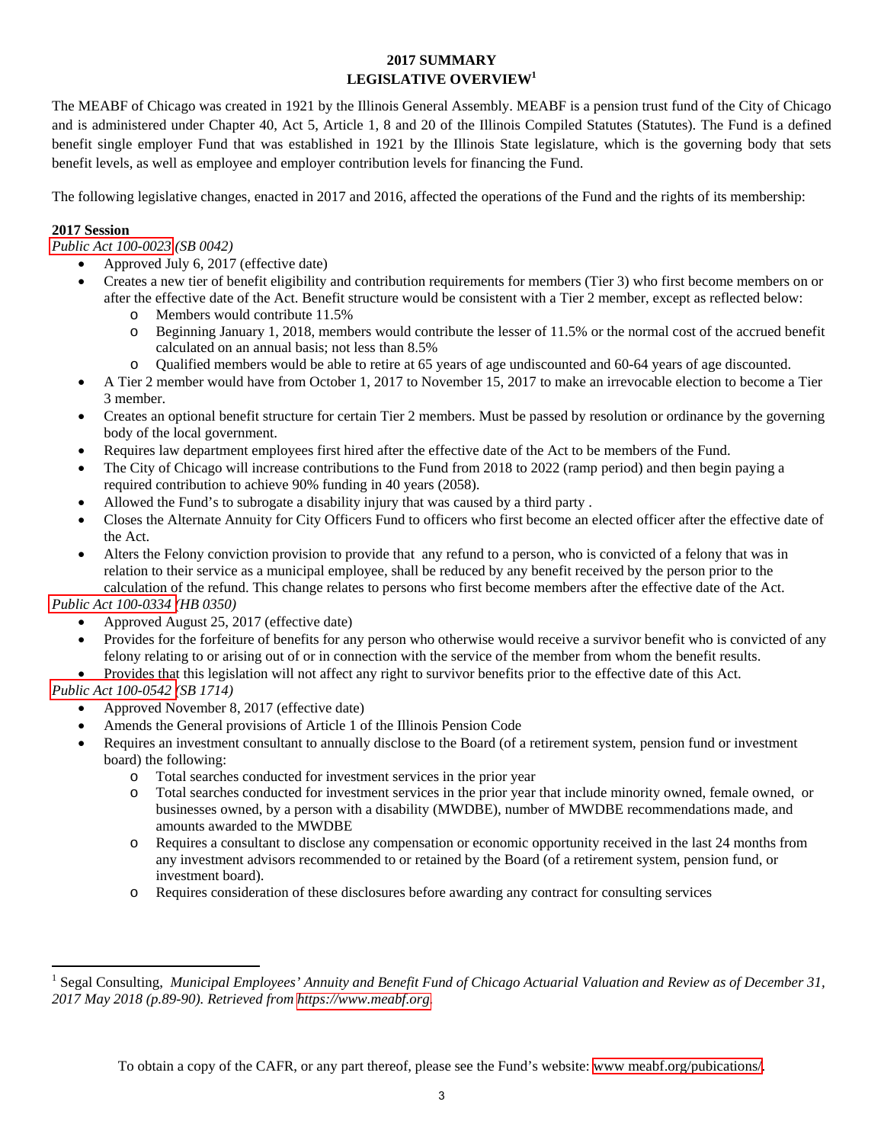# **2017 SUMMARY LEGISLATIVE OVERVIEW1**

The MEABF of Chicago was created in 1921 by the Illinois General Assembly. MEABF is a pension trust fund of the City of Chicago and is administered under Chapter 40, Act 5, Article 1, 8 and 20 of the Illinois Compiled Statutes (Statutes). The Fund is a defined benefit single employer Fund that was established in 1921 by the Illinois State legislature, which is the governing body that sets benefit levels, as well as employee and employer contribution levels for financing the Fund.

The following legislative changes, enacted in 2017 and 2016, affected the operations of the Fund and the rights of its membership:

# **2017 Session**

*[Public Act 100-0023](http://www.ilga.gov/legislation/publicacts/100/PDF/100-0023.pdf) (SB 0042)*

- Approved July 6, 2017 (effective date)
- Creates a new tier of benefit eligibility and contribution requirements for members (Tier 3) who first become members on or after the effective date of the Act. Benefit structure would be consistent with a Tier 2 member, except as reflected below:
	- o Members would contribute 11.5%
	- o Beginning January 1, 2018, members would contribute the lesser of 11.5% or the normal cost of the accrued benefit calculated on an annual basis; not less than 8.5%
	- o Qualified members would be able to retire at 65 years of age undiscounted and 60-64 years of age discounted.
- A Tier 2 member would have from October 1, 2017 to November 15, 2017 to make an irrevocable election to become a Tier 3 member.
- Creates an optional benefit structure for certain Tier 2 members. Must be passed by resolution or ordinance by the governing body of the local government.
- Requires law department employees first hired after the effective date of the Act to be members of the Fund.
- The City of Chicago will increase contributions to the Fund from 2018 to 2022 (ramp period) and then begin paying a required contribution to achieve 90% funding in 40 years (2058).
- Allowed the Fund's to subrogate a disability injury that was caused by a third party .
- Closes the Alternate Annuity for City Officers Fund to officers who first become an elected officer after the effective date of the Act.
- Alters the Felony conviction provision to provide that any refund to a person, who is convicted of a felony that was in relation to their service as a municipal employee, shall be reduced by any benefit received by the person prior to the calculation of the refund. This change relates to persons who first become members after the effective date of the Act.

*[Public Act 100-0334 \(](http://www.ilga.gov/legislation/publicacts/fulltext.asp?Name=100-0334&GA=100)HB 0350)*

- Approved August 25, 2017 (effective date)
- Provides for the forfeiture of benefits for any person who otherwise would receive a survivor benefit who is convicted of any felony relating to or arising out of or in connection with the service of the member from whom the benefit results.
- Provides that this legislation will not affect any right to survivor benefits prior to the effective date of this Act.

# *[Public Act 100-054](http://www.ilga.gov/legislation/publicacts/fulltext.asp?Name=100-0542&GA=100)2 (SB 1714)*

 $\overline{a}$ 

- Approved November 8, 2017 (effective date)
- Amends the General provisions of Article 1 of the Illinois Pension Code
- Requires an investment consultant to annually disclose to the Board (of a retirement system, pension fund or investment board) the following:
	- o Total searches conducted for investment services in the prior year
	- o Total searches conducted for investment services in the prior year that include minority owned, female owned, or businesses owned, by a person with a disability (MWDBE), number of MWDBE recommendations made, and amounts awarded to the MWDBE
	- o Requires a consultant to disclose any compensation or economic opportunity received in the last 24 months from any investment advisors recommended to or retained by the Board (of a retirement system, pension fund, or investment board).
	- o Requires consideration of these disclosures before awarding any contract for consulting services

<sup>&</sup>lt;sup>1</sup> Segal Consulting, Municipal Employees' Annuity and Benefit Fund of Chicago Actuarial Valuation and Review as of December 31, *2017 May 2018 (p.89-90). Retrieved from [https://www.meabf.org.](www.meabf.org)*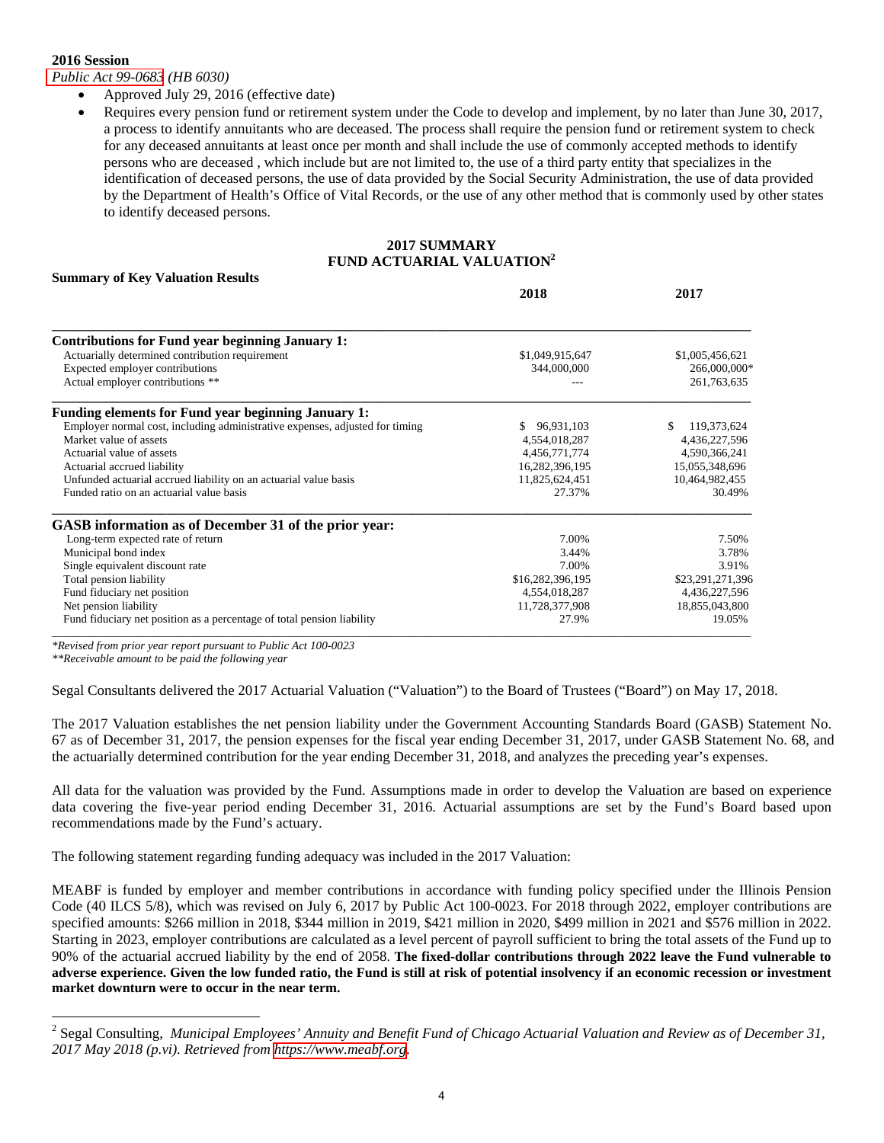#### **2016 Session**

*[Public Act 99-0683](http://www.ilga.gov/legislation/publicacts/fulltext.asp?Name=099-0683&GA=99) (HB 6030)*

- Approved July 29, 2016 (effective date)
- Requires every pension fund or retirement system under the Code to develop and implement, by no later than June 30, 2017, a process to identify annuitants who are deceased. The process shall require the pension fund or retirement system to check for any deceased annuitants at least once per month and shall include the use of commonly accepted methods to identify persons who are deceased , which include but are not limited to, the use of a third party entity that specializes in the identification of deceased persons, the use of data provided by the Social Security Administration, the use of data provided by the Department of Health's Office of Vital Records, or the use of any other method that is commonly used by other states to identify deceased persons.

#### **2017 SUMMARY FUND ACTUARIAL VALUATION2**

# **Summary of Key Valuation Results**

|                                                                              | 2018             | 2017              |
|------------------------------------------------------------------------------|------------------|-------------------|
|                                                                              |                  |                   |
| <b>Contributions for Fund year beginning January 1:</b>                      |                  |                   |
| Actuarially determined contribution requirement                              | \$1,049,915,647  | \$1,005,456,621   |
| Expected employer contributions                                              | 344,000,000      | 266,000,000*      |
| Actual employer contributions **                                             |                  | 261,763,635       |
| <b>Funding elements for Fund year beginning January 1:</b>                   |                  |                   |
| Employer normal cost, including administrative expenses, adjusted for timing | 96,931,103       | 119,373,624<br>S. |
| Market value of assets                                                       | 4,554,018,287    | 4,436,227,596     |
| Actuarial value of assets                                                    | 4,456,771,774    | 4,590,366,241     |
| Actuarial accrued liability                                                  | 16,282,396,195   | 15,055,348,696    |
| Unfunded actuarial accrued liability on an actuarial value basis             | 11,825,624,451   | 10,464,982,455    |
| Funded ratio on an actuarial value basis                                     | 27.37%           | 30.49%            |
| GASB information as of December 31 of the prior year:                        |                  |                   |
| Long-term expected rate of return                                            | 7.00%            | 7.50%             |
| Municipal bond index                                                         | 3.44%            | 3.78%             |
| Single equivalent discount rate                                              | 7.00%            | 3.91%             |
| Total pension liability                                                      | \$16,282,396,195 | \$23,291,271,396  |
| Fund fiduciary net position                                                  | 4,554,018,287    | 4,436,227,596     |
| Net pension liability                                                        | 11,728,377,908   | 18,855,043,800    |
| Fund fiduciary net position as a percentage of total pension liability       | 27.9%            | 19.05%            |

*\*Revised from prior year report pursuant to Public Act 100-0023* 

*\*\*Receivable amount to be paid the following year* 

 $\overline{a}$ 

Segal Consultants delivered the 2017 Actuarial Valuation ("Valuation") to the Board of Trustees ("Board") on May 17, 2018.

The 2017 Valuation establishes the net pension liability under the Government Accounting Standards Board (GASB) Statement No. 67 as of December 31, 2017, the pension expenses for the fiscal year ending December 31, 2017, under GASB Statement No. 68, and the actuarially determined contribution for the year ending December 31, 2018, and analyzes the preceding year's expenses.

All data for the valuation was provided by the Fund. Assumptions made in order to develop the Valuation are based on experience data covering the five-year period ending December 31, 2016. Actuarial assumptions are set by the Fund's Board based upon recommendations made by the Fund's actuary.

The following statement regarding funding adequacy was included in the 2017 Valuation:

MEABF is funded by employer and member contributions in accordance with funding policy specified under the Illinois Pension Code (40 ILCS 5/8), which was revised on July 6, 2017 by Public Act 100-0023. For 2018 through 2022, employer contributions are specified amounts: \$266 million in 2018, \$344 million in 2019, \$421 million in 2020, \$499 million in 2021 and \$576 million in 2022. Starting in 2023, employer contributions are calculated as a level percent of payroll sufficient to bring the total assets of the Fund up to 90% of the actuarial accrued liability by the end of 2058. **The fixed-dollar contributions through 2022 leave the Fund vulnerable to adverse experience. Given the low funded ratio, the Fund is still at risk of potential insolvency if an economic recession or investment market downturn were to occur in the near term.**

<sup>2</sup> Segal Consulting, *Municipal Employees' Annuity and Benefit Fund of Chicago Actuarial Valuation and Review as of December 31, 2017 May 2018 (p.vi). Retrieved from [https://www.meabf.org.](www.meabf.org)*